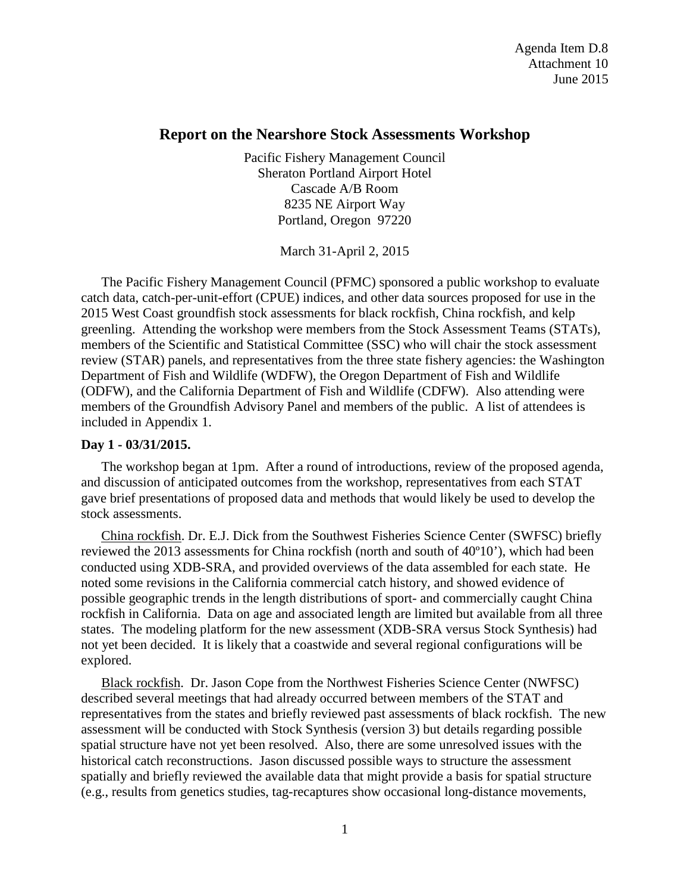# **Report on the Nearshore Stock Assessments Workshop**

Pacific Fishery Management Council Sheraton Portland Airport Hotel Cascade A/B Room 8235 NE Airport Way Portland, Oregon 97220

March 31-April 2, 2015

The Pacific Fishery Management Council (PFMC) sponsored a public workshop to evaluate catch data, catch-per-unit-effort (CPUE) indices, and other data sources proposed for use in the 2015 West Coast groundfish stock assessments for black rockfish, China rockfish, and kelp greenling. Attending the workshop were members from the Stock Assessment Teams (STATs), members of the Scientific and Statistical Committee (SSC) who will chair the stock assessment review (STAR) panels, and representatives from the three state fishery agencies: the Washington Department of Fish and Wildlife (WDFW), the Oregon Department of Fish and Wildlife (ODFW), and the California Department of Fish and Wildlife (CDFW). Also attending were members of the Groundfish Advisory Panel and members of the public. A list of attendees is included in Appendix 1.

### **Day 1 - 03/31/2015.**

The workshop began at 1pm. After a round of introductions, review of the proposed agenda, and discussion of anticipated outcomes from the workshop, representatives from each STAT gave brief presentations of proposed data and methods that would likely be used to develop the stock assessments.

China rockfish. Dr. E.J. Dick from the Southwest Fisheries Science Center (SWFSC) briefly reviewed the 2013 assessments for China rockfish (north and south of 40º10'), which had been conducted using XDB-SRA, and provided overviews of the data assembled for each state. He noted some revisions in the California commercial catch history, and showed evidence of possible geographic trends in the length distributions of sport- and commercially caught China rockfish in California. Data on age and associated length are limited but available from all three states. The modeling platform for the new assessment (XDB-SRA versus Stock Synthesis) had not yet been decided. It is likely that a coastwide and several regional configurations will be explored.

Black rockfish. Dr. Jason Cope from the Northwest Fisheries Science Center (NWFSC) described several meetings that had already occurred between members of the STAT and representatives from the states and briefly reviewed past assessments of black rockfish. The new assessment will be conducted with Stock Synthesis (version 3) but details regarding possible spatial structure have not yet been resolved. Also, there are some unresolved issues with the historical catch reconstructions. Jason discussed possible ways to structure the assessment spatially and briefly reviewed the available data that might provide a basis for spatial structure (e.g., results from genetics studies, tag-recaptures show occasional long-distance movements,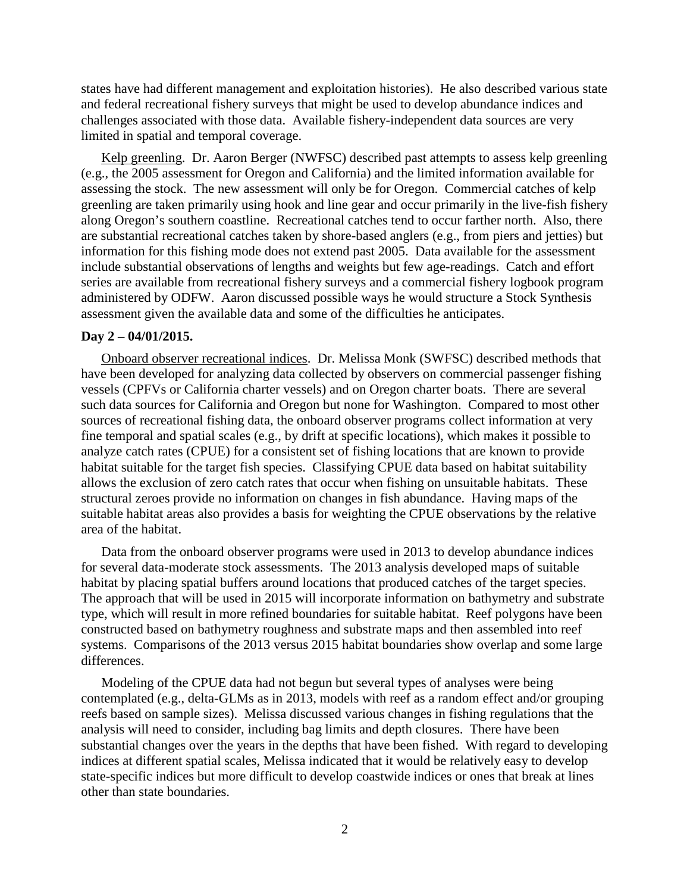states have had different management and exploitation histories). He also described various state and federal recreational fishery surveys that might be used to develop abundance indices and challenges associated with those data. Available fishery-independent data sources are very limited in spatial and temporal coverage.

Kelp greenling. Dr. Aaron Berger (NWFSC) described past attempts to assess kelp greenling (e.g., the 2005 assessment for Oregon and California) and the limited information available for assessing the stock. The new assessment will only be for Oregon. Commercial catches of kelp greenling are taken primarily using hook and line gear and occur primarily in the live-fish fishery along Oregon's southern coastline. Recreational catches tend to occur farther north. Also, there are substantial recreational catches taken by shore-based anglers (e.g., from piers and jetties) but information for this fishing mode does not extend past 2005. Data available for the assessment include substantial observations of lengths and weights but few age-readings. Catch and effort series are available from recreational fishery surveys and a commercial fishery logbook program administered by ODFW. Aaron discussed possible ways he would structure a Stock Synthesis assessment given the available data and some of the difficulties he anticipates.

#### **Day 2 – 04/01/2015.**

Onboard observer recreational indices. Dr. Melissa Monk (SWFSC) described methods that have been developed for analyzing data collected by observers on commercial passenger fishing vessels (CPFVs or California charter vessels) and on Oregon charter boats. There are several such data sources for California and Oregon but none for Washington. Compared to most other sources of recreational fishing data, the onboard observer programs collect information at very fine temporal and spatial scales (e.g., by drift at specific locations), which makes it possible to analyze catch rates (CPUE) for a consistent set of fishing locations that are known to provide habitat suitable for the target fish species. Classifying CPUE data based on habitat suitability allows the exclusion of zero catch rates that occur when fishing on unsuitable habitats. These structural zeroes provide no information on changes in fish abundance. Having maps of the suitable habitat areas also provides a basis for weighting the CPUE observations by the relative area of the habitat.

Data from the onboard observer programs were used in 2013 to develop abundance indices for several data-moderate stock assessments. The 2013 analysis developed maps of suitable habitat by placing spatial buffers around locations that produced catches of the target species. The approach that will be used in 2015 will incorporate information on bathymetry and substrate type, which will result in more refined boundaries for suitable habitat. Reef polygons have been constructed based on bathymetry roughness and substrate maps and then assembled into reef systems. Comparisons of the 2013 versus 2015 habitat boundaries show overlap and some large differences.

Modeling of the CPUE data had not begun but several types of analyses were being contemplated (e.g., delta-GLMs as in 2013, models with reef as a random effect and/or grouping reefs based on sample sizes). Melissa discussed various changes in fishing regulations that the analysis will need to consider, including bag limits and depth closures. There have been substantial changes over the years in the depths that have been fished. With regard to developing indices at different spatial scales, Melissa indicated that it would be relatively easy to develop state-specific indices but more difficult to develop coastwide indices or ones that break at lines other than state boundaries.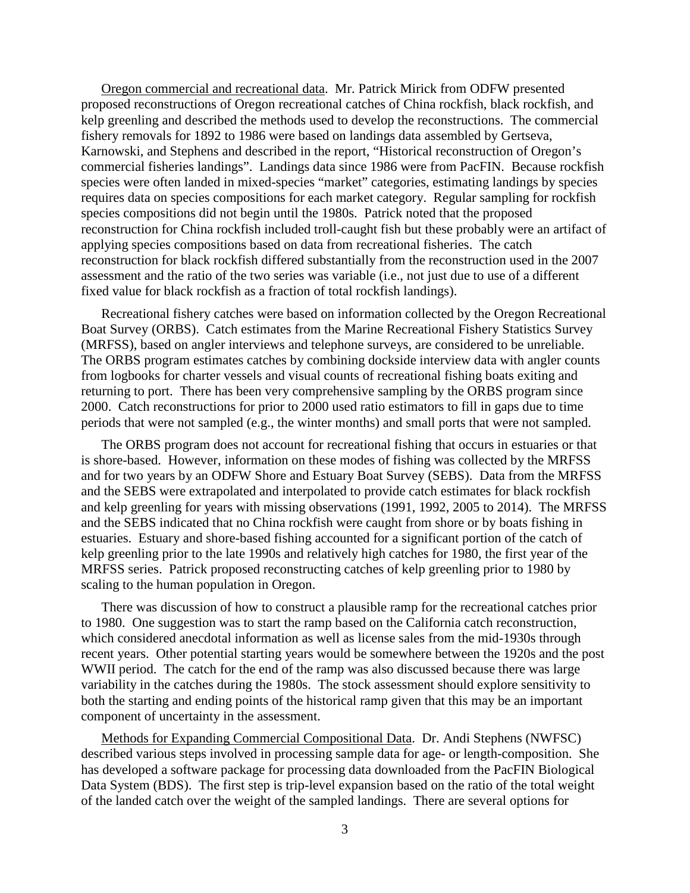Oregon commercial and recreational data. Mr. Patrick Mirick from ODFW presented proposed reconstructions of Oregon recreational catches of China rockfish, black rockfish, and kelp greenling and described the methods used to develop the reconstructions. The commercial fishery removals for 1892 to 1986 were based on landings data assembled by Gertseva, Karnowski, and Stephens and described in the report, "Historical reconstruction of Oregon's commercial fisheries landings". Landings data since 1986 were from PacFIN. Because rockfish species were often landed in mixed-species "market" categories, estimating landings by species requires data on species compositions for each market category. Regular sampling for rockfish species compositions did not begin until the 1980s. Patrick noted that the proposed reconstruction for China rockfish included troll-caught fish but these probably were an artifact of applying species compositions based on data from recreational fisheries. The catch reconstruction for black rockfish differed substantially from the reconstruction used in the 2007 assessment and the ratio of the two series was variable (i.e., not just due to use of a different fixed value for black rockfish as a fraction of total rockfish landings).

Recreational fishery catches were based on information collected by the Oregon Recreational Boat Survey (ORBS). Catch estimates from the Marine Recreational Fishery Statistics Survey (MRFSS), based on angler interviews and telephone surveys, are considered to be unreliable. The ORBS program estimates catches by combining dockside interview data with angler counts from logbooks for charter vessels and visual counts of recreational fishing boats exiting and returning to port. There has been very comprehensive sampling by the ORBS program since 2000. Catch reconstructions for prior to 2000 used ratio estimators to fill in gaps due to time periods that were not sampled (e.g., the winter months) and small ports that were not sampled.

The ORBS program does not account for recreational fishing that occurs in estuaries or that is shore-based. However, information on these modes of fishing was collected by the MRFSS and for two years by an ODFW Shore and Estuary Boat Survey (SEBS). Data from the MRFSS and the SEBS were extrapolated and interpolated to provide catch estimates for black rockfish and kelp greenling for years with missing observations (1991, 1992, 2005 to 2014). The MRFSS and the SEBS indicated that no China rockfish were caught from shore or by boats fishing in estuaries. Estuary and shore-based fishing accounted for a significant portion of the catch of kelp greenling prior to the late 1990s and relatively high catches for 1980, the first year of the MRFSS series. Patrick proposed reconstructing catches of kelp greenling prior to 1980 by scaling to the human population in Oregon.

There was discussion of how to construct a plausible ramp for the recreational catches prior to 1980. One suggestion was to start the ramp based on the California catch reconstruction, which considered anecdotal information as well as license sales from the mid-1930s through recent years. Other potential starting years would be somewhere between the 1920s and the post WWII period. The catch for the end of the ramp was also discussed because there was large variability in the catches during the 1980s. The stock assessment should explore sensitivity to both the starting and ending points of the historical ramp given that this may be an important component of uncertainty in the assessment.

Methods for Expanding Commercial Compositional Data. Dr. Andi Stephens (NWFSC) described various steps involved in processing sample data for age- or length-composition. She has developed a software package for processing data downloaded from the PacFIN Biological Data System (BDS). The first step is trip-level expansion based on the ratio of the total weight of the landed catch over the weight of the sampled landings. There are several options for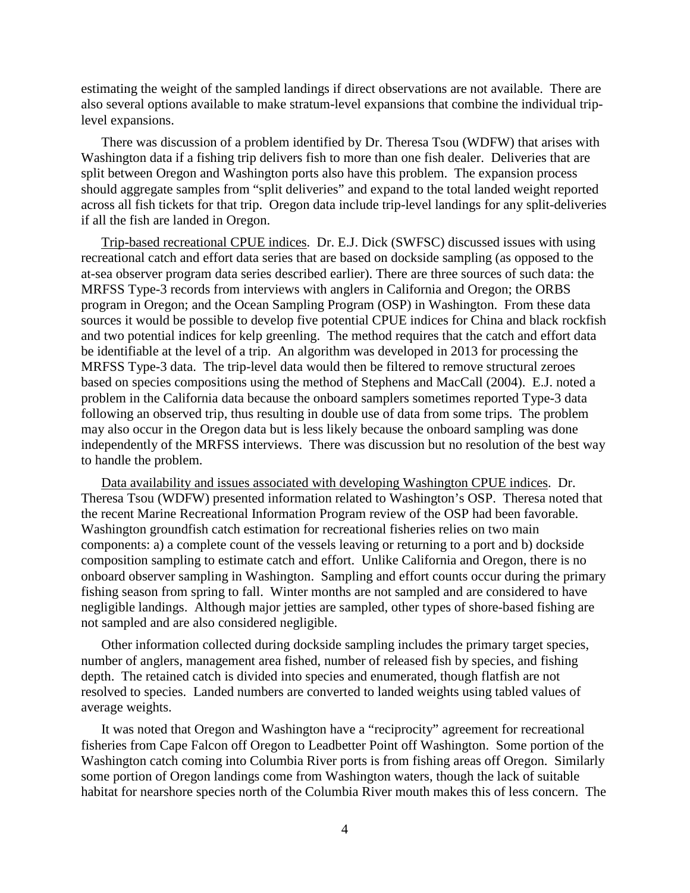estimating the weight of the sampled landings if direct observations are not available. There are also several options available to make stratum-level expansions that combine the individual triplevel expansions.

There was discussion of a problem identified by Dr. Theresa Tsou (WDFW) that arises with Washington data if a fishing trip delivers fish to more than one fish dealer. Deliveries that are split between Oregon and Washington ports also have this problem. The expansion process should aggregate samples from "split deliveries" and expand to the total landed weight reported across all fish tickets for that trip. Oregon data include trip-level landings for any split-deliveries if all the fish are landed in Oregon.

Trip-based recreational CPUE indices. Dr. E.J. Dick (SWFSC) discussed issues with using recreational catch and effort data series that are based on dockside sampling (as opposed to the at-sea observer program data series described earlier). There are three sources of such data: the MRFSS Type-3 records from interviews with anglers in California and Oregon; the ORBS program in Oregon; and the Ocean Sampling Program (OSP) in Washington. From these data sources it would be possible to develop five potential CPUE indices for China and black rockfish and two potential indices for kelp greenling. The method requires that the catch and effort data be identifiable at the level of a trip. An algorithm was developed in 2013 for processing the MRFSS Type-3 data. The trip-level data would then be filtered to remove structural zeroes based on species compositions using the method of Stephens and MacCall (2004). E.J. noted a problem in the California data because the onboard samplers sometimes reported Type-3 data following an observed trip, thus resulting in double use of data from some trips. The problem may also occur in the Oregon data but is less likely because the onboard sampling was done independently of the MRFSS interviews. There was discussion but no resolution of the best way to handle the problem.

Data availability and issues associated with developing Washington CPUE indices. Dr. Theresa Tsou (WDFW) presented information related to Washington's OSP. Theresa noted that the recent Marine Recreational Information Program review of the OSP had been favorable. Washington groundfish catch estimation for recreational fisheries relies on two main components: a) a complete count of the vessels leaving or returning to a port and b) dockside composition sampling to estimate catch and effort. Unlike California and Oregon, there is no onboard observer sampling in Washington. Sampling and effort counts occur during the primary fishing season from spring to fall. Winter months are not sampled and are considered to have negligible landings. Although major jetties are sampled, other types of shore-based fishing are not sampled and are also considered negligible.

Other information collected during dockside sampling includes the primary target species, number of anglers, management area fished, number of released fish by species, and fishing depth. The retained catch is divided into species and enumerated, though flatfish are not resolved to species. Landed numbers are converted to landed weights using tabled values of average weights.

It was noted that Oregon and Washington have a "reciprocity" agreement for recreational fisheries from Cape Falcon off Oregon to Leadbetter Point off Washington. Some portion of the Washington catch coming into Columbia River ports is from fishing areas off Oregon. Similarly some portion of Oregon landings come from Washington waters, though the lack of suitable habitat for nearshore species north of the Columbia River mouth makes this of less concern. The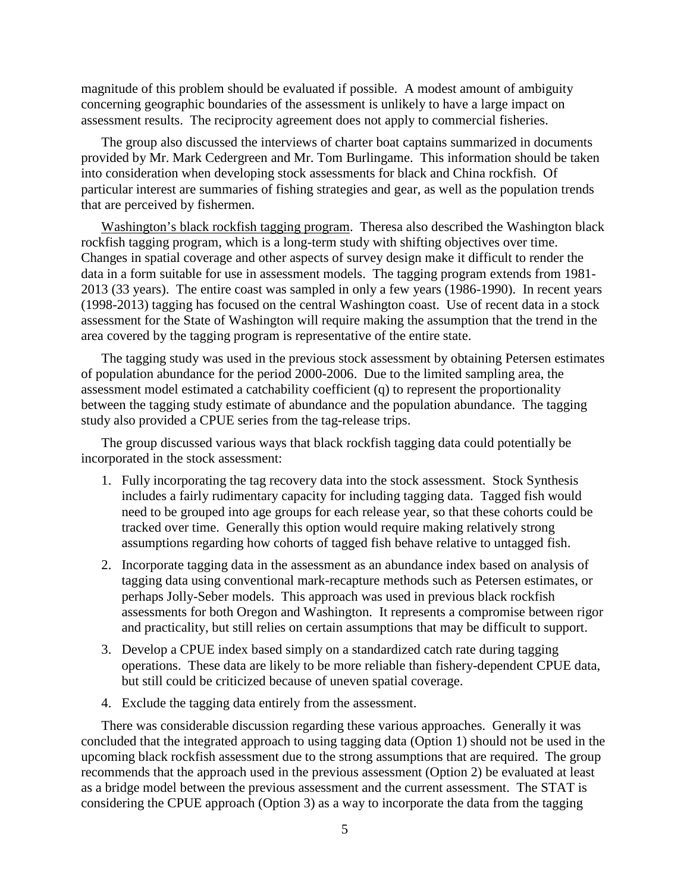magnitude of this problem should be evaluated if possible. A modest amount of ambiguity concerning geographic boundaries of the assessment is unlikely to have a large impact on assessment results. The reciprocity agreement does not apply to commercial fisheries.

The group also discussed the interviews of charter boat captains summarized in documents provided by Mr. Mark Cedergreen and Mr. Tom Burlingame. This information should be taken into consideration when developing stock assessments for black and China rockfish. Of particular interest are summaries of fishing strategies and gear, as well as the population trends that are perceived by fishermen.

Washington's black rockfish tagging program. Theresa also described the Washington black rockfish tagging program, which is a long-term study with shifting objectives over time. Changes in spatial coverage and other aspects of survey design make it difficult to render the data in a form suitable for use in assessment models. The tagging program extends from 1981- 2013 (33 years). The entire coast was sampled in only a few years (1986-1990). In recent years (1998-2013) tagging has focused on the central Washington coast. Use of recent data in a stock assessment for the State of Washington will require making the assumption that the trend in the area covered by the tagging program is representative of the entire state.

The tagging study was used in the previous stock assessment by obtaining Petersen estimates of population abundance for the period 2000-2006. Due to the limited sampling area, the assessment model estimated a catchability coefficient (q) to represent the proportionality between the tagging study estimate of abundance and the population abundance. The tagging study also provided a CPUE series from the tag-release trips.

The group discussed various ways that black rockfish tagging data could potentially be incorporated in the stock assessment:

- 1. Fully incorporating the tag recovery data into the stock assessment. Stock Synthesis includes a fairly rudimentary capacity for including tagging data. Tagged fish would need to be grouped into age groups for each release year, so that these cohorts could be tracked over time. Generally this option would require making relatively strong assumptions regarding how cohorts of tagged fish behave relative to untagged fish.
- 2. Incorporate tagging data in the assessment as an abundance index based on analysis of tagging data using conventional mark-recapture methods such as Petersen estimates, or perhaps Jolly-Seber models. This approach was used in previous black rockfish assessments for both Oregon and Washington. It represents a compromise between rigor and practicality, but still relies on certain assumptions that may be difficult to support.
- 3. Develop a CPUE index based simply on a standardized catch rate during tagging operations. These data are likely to be more reliable than fishery-dependent CPUE data, but still could be criticized because of uneven spatial coverage.
- 4. Exclude the tagging data entirely from the assessment.

There was considerable discussion regarding these various approaches. Generally it was concluded that the integrated approach to using tagging data (Option 1) should not be used in the upcoming black rockfish assessment due to the strong assumptions that are required. The group recommends that the approach used in the previous assessment (Option 2) be evaluated at least as a bridge model between the previous assessment and the current assessment. The STAT is considering the CPUE approach (Option 3) as a way to incorporate the data from the tagging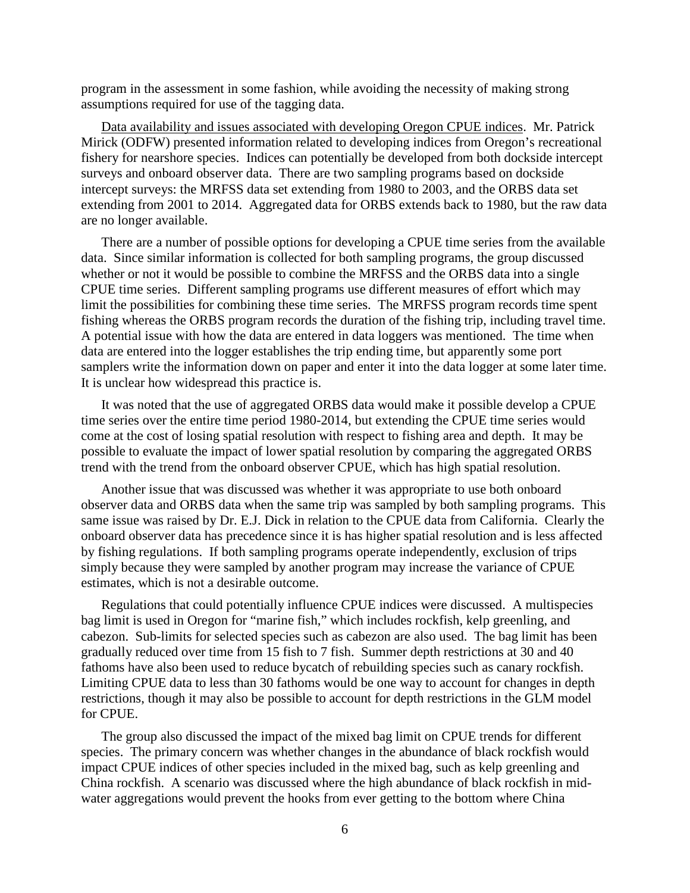program in the assessment in some fashion, while avoiding the necessity of making strong assumptions required for use of the tagging data.

Data availability and issues associated with developing Oregon CPUE indices. Mr. Patrick Mirick (ODFW) presented information related to developing indices from Oregon's recreational fishery for nearshore species. Indices can potentially be developed from both dockside intercept surveys and onboard observer data. There are two sampling programs based on dockside intercept surveys: the MRFSS data set extending from 1980 to 2003, and the ORBS data set extending from 2001 to 2014. Aggregated data for ORBS extends back to 1980, but the raw data are no longer available.

There are a number of possible options for developing a CPUE time series from the available data. Since similar information is collected for both sampling programs, the group discussed whether or not it would be possible to combine the MRFSS and the ORBS data into a single CPUE time series. Different sampling programs use different measures of effort which may limit the possibilities for combining these time series. The MRFSS program records time spent fishing whereas the ORBS program records the duration of the fishing trip, including travel time. A potential issue with how the data are entered in data loggers was mentioned. The time when data are entered into the logger establishes the trip ending time, but apparently some port samplers write the information down on paper and enter it into the data logger at some later time. It is unclear how widespread this practice is.

It was noted that the use of aggregated ORBS data would make it possible develop a CPUE time series over the entire time period 1980-2014, but extending the CPUE time series would come at the cost of losing spatial resolution with respect to fishing area and depth. It may be possible to evaluate the impact of lower spatial resolution by comparing the aggregated ORBS trend with the trend from the onboard observer CPUE, which has high spatial resolution.

Another issue that was discussed was whether it was appropriate to use both onboard observer data and ORBS data when the same trip was sampled by both sampling programs. This same issue was raised by Dr. E.J. Dick in relation to the CPUE data from California. Clearly the onboard observer data has precedence since it is has higher spatial resolution and is less affected by fishing regulations. If both sampling programs operate independently, exclusion of trips simply because they were sampled by another program may increase the variance of CPUE estimates, which is not a desirable outcome.

Regulations that could potentially influence CPUE indices were discussed. A multispecies bag limit is used in Oregon for "marine fish," which includes rockfish, kelp greenling, and cabezon. Sub-limits for selected species such as cabezon are also used. The bag limit has been gradually reduced over time from 15 fish to 7 fish. Summer depth restrictions at 30 and 40 fathoms have also been used to reduce bycatch of rebuilding species such as canary rockfish. Limiting CPUE data to less than 30 fathoms would be one way to account for changes in depth restrictions, though it may also be possible to account for depth restrictions in the GLM model for CPUE.

The group also discussed the impact of the mixed bag limit on CPUE trends for different species. The primary concern was whether changes in the abundance of black rockfish would impact CPUE indices of other species included in the mixed bag, such as kelp greenling and China rockfish. A scenario was discussed where the high abundance of black rockfish in midwater aggregations would prevent the hooks from ever getting to the bottom where China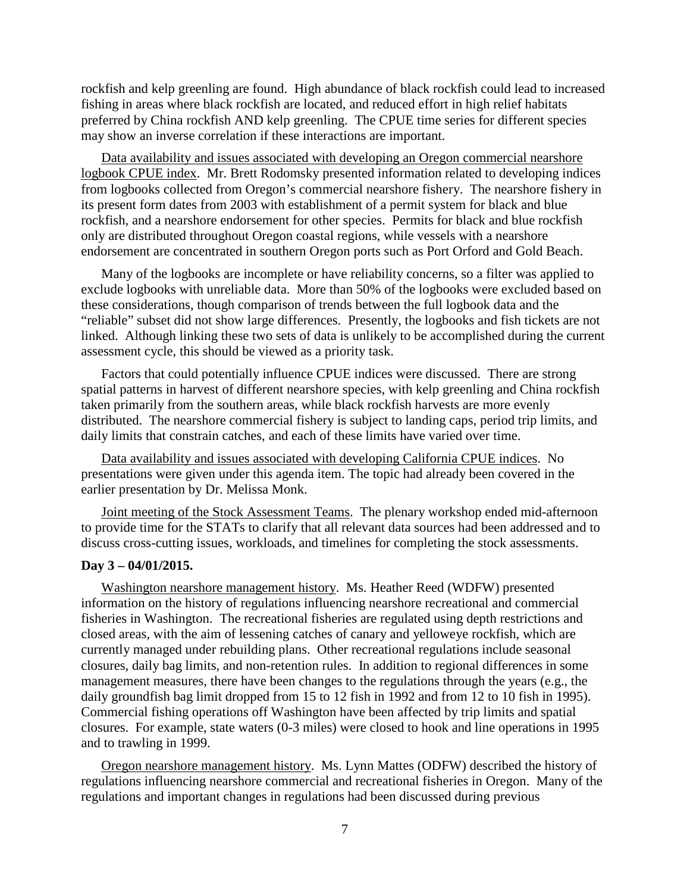rockfish and kelp greenling are found. High abundance of black rockfish could lead to increased fishing in areas where black rockfish are located, and reduced effort in high relief habitats preferred by China rockfish AND kelp greenling. The CPUE time series for different species may show an inverse correlation if these interactions are important.

Data availability and issues associated with developing an Oregon commercial nearshore logbook CPUE index. Mr. Brett Rodomsky presented information related to developing indices from logbooks collected from Oregon's commercial nearshore fishery. The nearshore fishery in its present form dates from 2003 with establishment of a permit system for black and blue rockfish, and a nearshore endorsement for other species. Permits for black and blue rockfish only are distributed throughout Oregon coastal regions, while vessels with a nearshore endorsement are concentrated in southern Oregon ports such as Port Orford and Gold Beach.

Many of the logbooks are incomplete or have reliability concerns, so a filter was applied to exclude logbooks with unreliable data. More than 50% of the logbooks were excluded based on these considerations, though comparison of trends between the full logbook data and the "reliable" subset did not show large differences. Presently, the logbooks and fish tickets are not linked. Although linking these two sets of data is unlikely to be accomplished during the current assessment cycle, this should be viewed as a priority task.

Factors that could potentially influence CPUE indices were discussed. There are strong spatial patterns in harvest of different nearshore species, with kelp greenling and China rockfish taken primarily from the southern areas, while black rockfish harvests are more evenly distributed. The nearshore commercial fishery is subject to landing caps, period trip limits, and daily limits that constrain catches, and each of these limits have varied over time.

Data availability and issues associated with developing California CPUE indices. No presentations were given under this agenda item. The topic had already been covered in the earlier presentation by Dr. Melissa Monk.

Joint meeting of the Stock Assessment Teams. The plenary workshop ended mid-afternoon to provide time for the STATs to clarify that all relevant data sources had been addressed and to discuss cross-cutting issues, workloads, and timelines for completing the stock assessments.

#### **Day 3 – 04/01/2015.**

Washington nearshore management history. Ms. Heather Reed (WDFW) presented information on the history of regulations influencing nearshore recreational and commercial fisheries in Washington. The recreational fisheries are regulated using depth restrictions and closed areas, with the aim of lessening catches of canary and yelloweye rockfish, which are currently managed under rebuilding plans. Other recreational regulations include seasonal closures, daily bag limits, and non-retention rules. In addition to regional differences in some management measures, there have been changes to the regulations through the years (e.g., the daily groundfish bag limit dropped from 15 to 12 fish in 1992 and from 12 to 10 fish in 1995). Commercial fishing operations off Washington have been affected by trip limits and spatial closures. For example, state waters (0-3 miles) were closed to hook and line operations in 1995 and to trawling in 1999.

Oregon nearshore management history. Ms. Lynn Mattes (ODFW) described the history of regulations influencing nearshore commercial and recreational fisheries in Oregon. Many of the regulations and important changes in regulations had been discussed during previous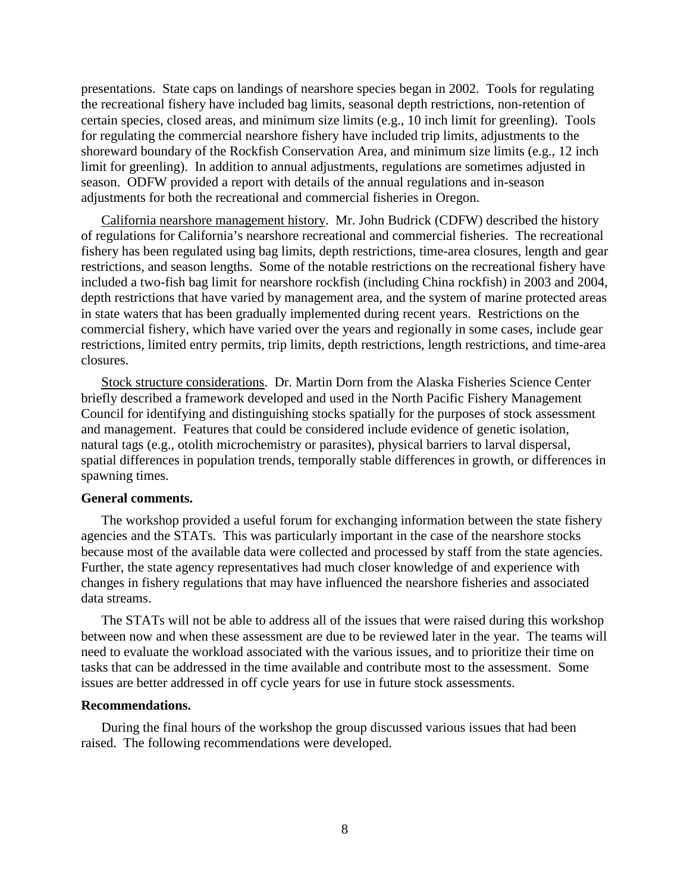presentations. State caps on landings of nearshore species began in 2002. Tools for regulating the recreational fishery have included bag limits, seasonal depth restrictions, non-retention of certain species, closed areas, and minimum size limits (e.g., 10 inch limit for greenling). Tools for regulating the commercial nearshore fishery have included trip limits, adjustments to the shoreward boundary of the Rockfish Conservation Area, and minimum size limits (e.g., 12 inch limit for greenling). In addition to annual adjustments, regulations are sometimes adjusted in season. ODFW provided a report with details of the annual regulations and in-season adjustments for both the recreational and commercial fisheries in Oregon.

California nearshore management history. Mr. John Budrick (CDFW) described the history of regulations for California's nearshore recreational and commercial fisheries. The recreational fishery has been regulated using bag limits, depth restrictions, time-area closures, length and gear restrictions, and season lengths. Some of the notable restrictions on the recreational fishery have included a two-fish bag limit for nearshore rockfish (including China rockfish) in 2003 and 2004, depth restrictions that have varied by management area, and the system of marine protected areas in state waters that has been gradually implemented during recent years. Restrictions on the commercial fishery, which have varied over the years and regionally in some cases, include gear restrictions, limited entry permits, trip limits, depth restrictions, length restrictions, and time-area closures.

Stock structure considerations. Dr. Martin Dorn from the Alaska Fisheries Science Center briefly described a framework developed and used in the North Pacific Fishery Management Council for identifying and distinguishing stocks spatially for the purposes of stock assessment and management. Features that could be considered include evidence of genetic isolation, natural tags (e.g., otolith microchemistry or parasites), physical barriers to larval dispersal, spatial differences in population trends, temporally stable differences in growth, or differences in spawning times.

#### **General comments.**

The workshop provided a useful forum for exchanging information between the state fishery agencies and the STATs. This was particularly important in the case of the nearshore stocks because most of the available data were collected and processed by staff from the state agencies. Further, the state agency representatives had much closer knowledge of and experience with changes in fishery regulations that may have influenced the nearshore fisheries and associated data streams.

The STATs will not be able to address all of the issues that were raised during this workshop between now and when these assessment are due to be reviewed later in the year. The teams will need to evaluate the workload associated with the various issues, and to prioritize their time on tasks that can be addressed in the time available and contribute most to the assessment. Some issues are better addressed in off cycle years for use in future stock assessments.

#### **Recommendations.**

During the final hours of the workshop the group discussed various issues that had been raised. The following recommendations were developed.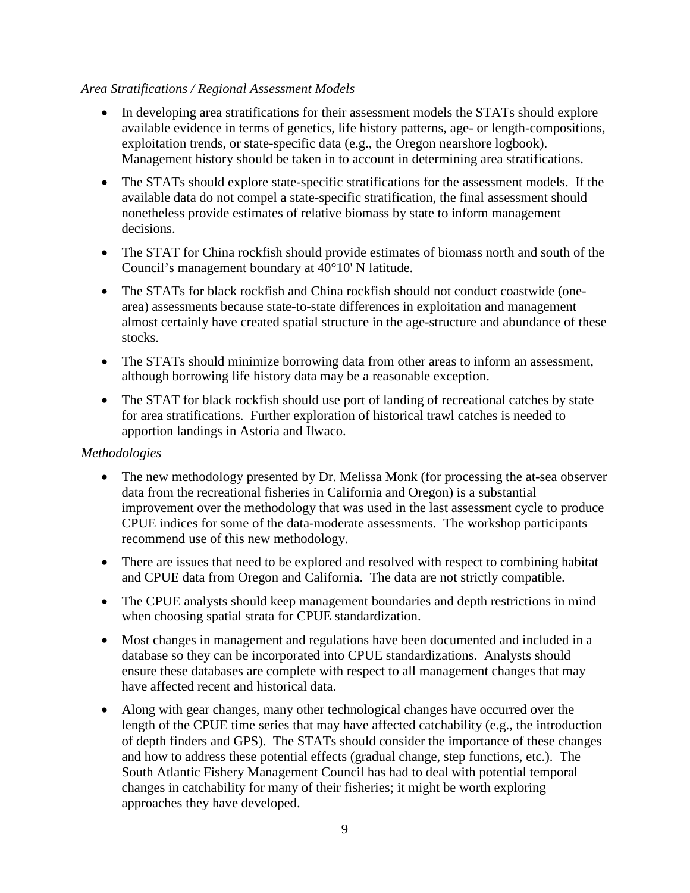## *Area Stratifications / Regional Assessment Models*

- In developing area stratifications for their assessment models the STATs should explore available evidence in terms of genetics, life history patterns, age- or length-compositions, exploitation trends, or state-specific data (e.g., the Oregon nearshore logbook). Management history should be taken in to account in determining area stratifications.
- The STATs should explore state-specific stratifications for the assessment models. If the available data do not compel a state-specific stratification, the final assessment should nonetheless provide estimates of relative biomass by state to inform management decisions.
- The STAT for China rockfish should provide estimates of biomass north and south of the Council's management boundary at 40°10' N latitude.
- The STATs for black rockfish and China rockfish should not conduct coastwide (onearea) assessments because state-to-state differences in exploitation and management almost certainly have created spatial structure in the age-structure and abundance of these stocks.
- The STATs should minimize borrowing data from other areas to inform an assessment, although borrowing life history data may be a reasonable exception.
- The STAT for black rockfish should use port of landing of recreational catches by state for area stratifications. Further exploration of historical trawl catches is needed to apportion landings in Astoria and Ilwaco.

## *Methodologies*

- The new methodology presented by Dr. Melissa Monk (for processing the at-sea observer data from the recreational fisheries in California and Oregon) is a substantial improvement over the methodology that was used in the last assessment cycle to produce CPUE indices for some of the data-moderate assessments. The workshop participants recommend use of this new methodology.
- There are issues that need to be explored and resolved with respect to combining habitat and CPUE data from Oregon and California. The data are not strictly compatible.
- The CPUE analysts should keep management boundaries and depth restrictions in mind when choosing spatial strata for CPUE standardization.
- Most changes in management and regulations have been documented and included in a database so they can be incorporated into CPUE standardizations. Analysts should ensure these databases are complete with respect to all management changes that may have affected recent and historical data.
- Along with gear changes, many other technological changes have occurred over the length of the CPUE time series that may have affected catchability (e.g., the introduction of depth finders and GPS). The STATs should consider the importance of these changes and how to address these potential effects (gradual change, step functions, etc.). The South Atlantic Fishery Management Council has had to deal with potential temporal changes in catchability for many of their fisheries; it might be worth exploring approaches they have developed.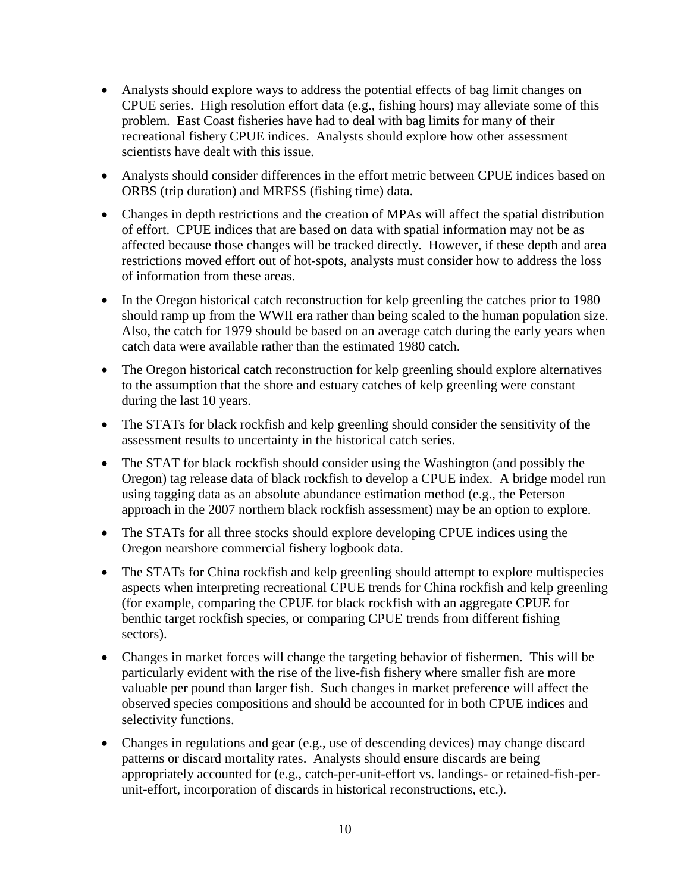- Analysts should explore ways to address the potential effects of bag limit changes on CPUE series. High resolution effort data (e.g., fishing hours) may alleviate some of this problem. East Coast fisheries have had to deal with bag limits for many of their recreational fishery CPUE indices. Analysts should explore how other assessment scientists have dealt with this issue.
- Analysts should consider differences in the effort metric between CPUE indices based on ORBS (trip duration) and MRFSS (fishing time) data.
- Changes in depth restrictions and the creation of MPAs will affect the spatial distribution of effort. CPUE indices that are based on data with spatial information may not be as affected because those changes will be tracked directly. However, if these depth and area restrictions moved effort out of hot-spots, analysts must consider how to address the loss of information from these areas.
- In the Oregon historical catch reconstruction for kelp greenling the catches prior to 1980 should ramp up from the WWII era rather than being scaled to the human population size. Also, the catch for 1979 should be based on an average catch during the early years when catch data were available rather than the estimated 1980 catch.
- The Oregon historical catch reconstruction for kelp greenling should explore alternatives to the assumption that the shore and estuary catches of kelp greenling were constant during the last 10 years.
- The STATs for black rockfish and kelp greenling should consider the sensitivity of the assessment results to uncertainty in the historical catch series.
- The STAT for black rockfish should consider using the Washington (and possibly the Oregon) tag release data of black rockfish to develop a CPUE index. A bridge model run using tagging data as an absolute abundance estimation method (e.g., the Peterson approach in the 2007 northern black rockfish assessment) may be an option to explore.
- The STATs for all three stocks should explore developing CPUE indices using the Oregon nearshore commercial fishery logbook data.
- The STATs for China rockfish and kelp greenling should attempt to explore multispecies aspects when interpreting recreational CPUE trends for China rockfish and kelp greenling (for example, comparing the CPUE for black rockfish with an aggregate CPUE for benthic target rockfish species, or comparing CPUE trends from different fishing sectors).
- Changes in market forces will change the targeting behavior of fishermen. This will be particularly evident with the rise of the live-fish fishery where smaller fish are more valuable per pound than larger fish. Such changes in market preference will affect the observed species compositions and should be accounted for in both CPUE indices and selectivity functions.
- Changes in regulations and gear (e.g., use of descending devices) may change discard patterns or discard mortality rates. Analysts should ensure discards are being appropriately accounted for (e.g., catch-per-unit-effort vs. landings- or retained-fish-perunit-effort, incorporation of discards in historical reconstructions, etc.).